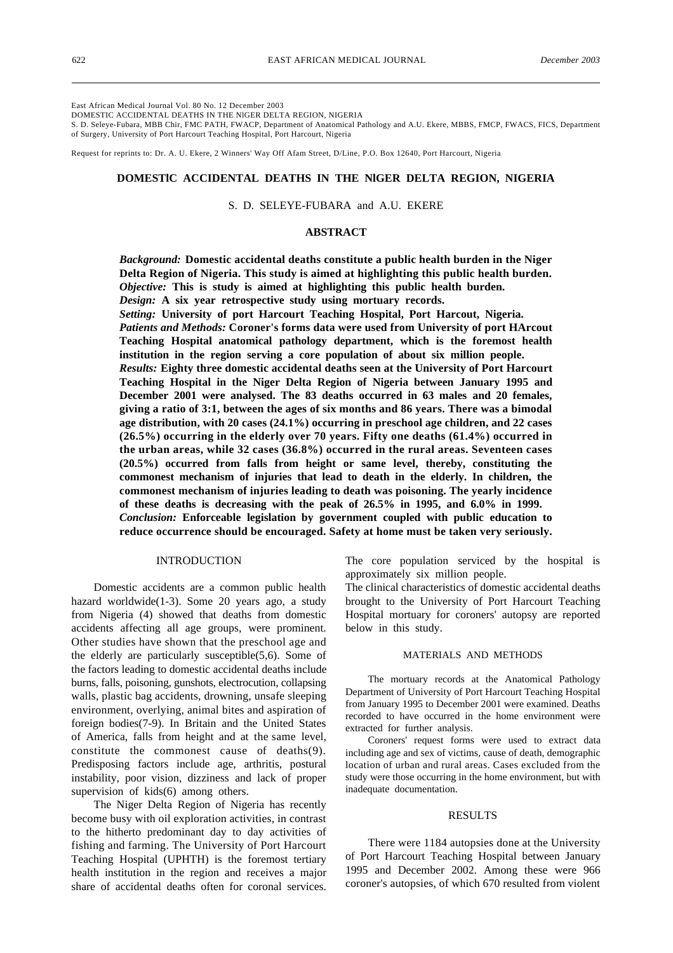East African Medical Journal Vol. 80 No. 12 December 2003

DOMESTIC ACCIDENTAL DEATHS IN THE NlGER DELTA REGION, NIGERIA

S. D. Seleye-Fubara, MBB Chir, FMC PATH, FWACP, Department of Anatomical Pathology and A.U. Ekere, MBBS, FMCP, FWACS, FICS, Department of Surgery, University of Port Harcourt Teaching Hospital, Port Harcourt, Nigeria

Request for reprints to: Dr. A. U. Ekere, 2 Winners' Way Off Afam Street, D/Line, P.O. Box 12640, Port Harcourt, Nigeria

### **DOMESTlC ACCIDENTAL DEATHS IN THE NlGER DELTA REGION, NIGERIA**

S. D. SELEYE-FUBARA and A.U. EKERE

## **ABSTRACT**

*Background:* **Domestic accidental deaths constitute a public health burden in the Niger Delta Region of Nigeria. This study is aimed at highlighting this public health burden.** *Objective:* **This is study is aimed at highlighting this public health burden.** *Design:* **A six year retrospective study using mortuary records.**

*Setting:* **University of port Harcourt Teaching Hospital, Port Harcout, Nigeria.** *Patients and Methods:* **Coroner's forms data were used from University of port HArcout Teaching Hospital anatomical pathology department, which is the foremost health institution in the region serving a core population of about six million people.** *Results:* **Eighty three domestic accidental deaths seen at the University of Port Harcourt Teaching Hospital in the Niger Delta Region of Nigeria between January 1995 and December 2001 were analysed. The 83 deaths occurred in 63 males and 20 females, giving a ratio of 3:1, between the ages of six months and 86 years. There was a bimodal age distribution, with 20 cases (24.1%) occurring in preschool age children, and 22 cases (26.5%) occurring in the elderly over 70 years. Fifty one deaths (61.4%) occurred in the urban areas, while 32 cases (36.8%) occurred in the rural areas. Seventeen cases (20.5%) occurred from falls from height or same level, thereby, constituting the commonest mechanism of injuries that lead to death in the elderly. In children, the commonest mechanism of injuries leading to death was poisoning. The yearly incidence of these deaths is decreasing with the peak of 26.5% in 1995, and 6.0% in 1999.** *Conclusion:* **Enforceable legislation by government coupled with public education to reduce occurrence should be encouraged. Safety at home must be taken very seriously.**

#### INTRODUCTION

Domestic accidents are a common public health hazard worldwide(1-3). Some 20 years ago, a study from Nigeria (4) showed that deaths from domestic accidents affecting all age groups, were prominent. Other studies have shown that the preschool age and the elderly are particularly susceptible(5,6). Some of the factors leading to domestic accidental deaths include burns, falls, poisoning, gunshots, electrocution, collapsing walls, plastic bag accidents, drowning, unsafe sleeping environment, overlying, animal bites and aspiration of foreign bodies(7-9). In Britain and the United States of America, falls from height and at the same level, constitute the commonest cause of deaths(9). Predisposing factors include age, arthritis, postural instability, poor vision, dizziness and lack of proper supervision of kids(6) among others.

The Niger Delta Region of Nigeria has recently become busy with oil exploration activities, in contrast to the hitherto predominant day to day activities of fishing and farming. The University of Port Harcourt Teaching Hospital (UPHTH) is the foremost tertiary health institution in the region and receives a major share of accidental deaths often for coronal services.

The core population serviced by the hospital is approximately six million people.

The clinical characteristics of domestic accidental deaths brought to the University of Port Harcourt Teaching Hospital mortuary for coroners' autopsy are reported below in this study.

### MATERIALS AND METHODS

The mortuary records at the Anatomical Pathology Department of University of Port Harcourt Teaching Hospital from January 1995 to December 2001 were examined. Deaths recorded to have occurred in the home environment were extracted for further analysis.

Coroners' request forms were used to extract data including age and sex of victims, cause of death, demographic location of urban and rural areas. Cases excluded from the study were those occurring in the home environment, but with inadequate documentation.

#### RESULTS

There were 1184 autopsies done at the University of Port Harcourt Teaching Hospital between January 1995 and December 2002. Among these were 966 coroner's autopsies, of which 670 resulted from violent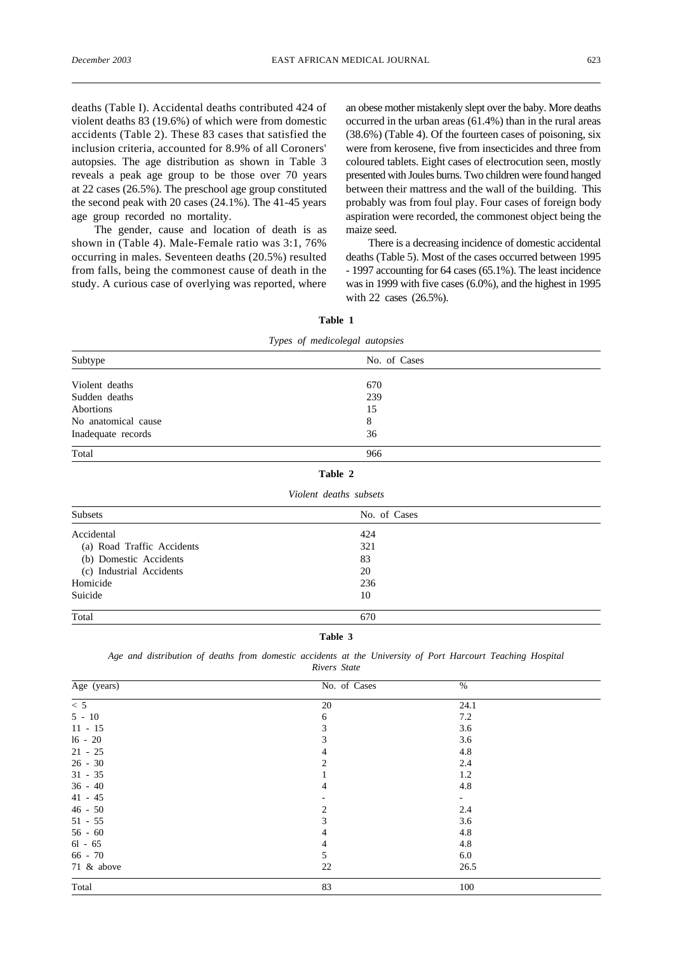deaths (Table I). Accidental deaths contributed 424 of violent deaths 83 (19.6%) of which were from domestic accidents (Table 2). These 83 cases that satisfied the inclusion criteria, accounted for 8.9% of all Coroners' autopsies. The age distribution as shown in Table 3 reveals a peak age group to be those over 70 years at 22 cases (26.5%). The preschool age group constituted the second peak with 20 cases (24.1%). The 41-45 years age group recorded no mortality.

The gender, cause and location of death is as shown in (Table 4). Male-Female ratio was 3:1, 76% occurring in males. Seventeen deaths (20.5%) resulted from falls, being the commonest cause of death in the study. A curious case of overlying was reported, where an obese mother mistakenly slept over the baby. More deaths occurred in the urban areas (61.4%) than in the rural areas (38.6%) (Table 4). Of the fourteen cases of poisoning, six were from kerosene, five from insecticides and three from coloured tablets. Eight cases of electrocution seen, mostly presented with Joules burns. Two children were found hanged between their mattress and the wall of the building. This probably was from foul play. Four cases of foreign body aspiration were recorded, the commonest object being the maize seed.

There is a decreasing incidence of domestic accidental deaths (Table 5). Most of the cases occurred between 1995 - 1997 accounting for 64 cases (65.1%). The least incidence was in 1999 with five cases (6.0%), and the highest in 1995 with 22 cases (26.5%).

| Types of medicolegal autopsies |              |  |  |  |  |
|--------------------------------|--------------|--|--|--|--|
| Subtype                        | No. of Cases |  |  |  |  |
| Violent deaths                 | 670          |  |  |  |  |
| Sudden deaths                  | 239          |  |  |  |  |
| Abortions                      | 15           |  |  |  |  |
| No anatomical cause            | 8            |  |  |  |  |
| Inadequate records             | 36           |  |  |  |  |
| Total                          | 966          |  |  |  |  |
|                                | Table 2      |  |  |  |  |

**Table 1**

|  | Violent deaths subsets |  |
|--|------------------------|--|
|  |                        |  |

| Subsets                    | No. of Cases |  |
|----------------------------|--------------|--|
| Accidental                 | 424          |  |
| (a) Road Traffic Accidents | 321          |  |
| (b) Domestic Accidents     | 83           |  |
| (c) Industrial Accidents   | 20           |  |
| Homicide                   | 236          |  |
| Suicide                    | 10           |  |
| Total                      | 670          |  |

### **Table 3**

|  | Age and distribution of deaths from domestic accidents at the University of Port Harcourt Teaching Hospital |  |  |              |  |  |  |  |
|--|-------------------------------------------------------------------------------------------------------------|--|--|--------------|--|--|--|--|
|  |                                                                                                             |  |  | Rivers State |  |  |  |  |

| Age (years)    | No. of Cases                | $\%$                     |  |
|----------------|-----------------------------|--------------------------|--|
| $\overline{5}$ | 20                          | 24.1                     |  |
| $5 - 10$       | 6                           | 7.2                      |  |
| $11 - 15$      | 3                           | 3.6                      |  |
| $16 - 20$      | 3                           | 3.6                      |  |
| $21 - 25$      | 4                           | 4.8                      |  |
| $26 - 30$      | $\mathcal{D}_{\mathcal{L}}$ | 2.4                      |  |
| $31 - 35$      |                             | 1.2                      |  |
| $36 - 40$      | 4                           | 4.8                      |  |
| $41 - 45$      |                             | $\overline{\phantom{a}}$ |  |
| $46 - 50$      | $\mathcal{D}_{\mathcal{A}}$ | 2.4                      |  |
| $51 - 55$      | 3                           | 3.6                      |  |
| $56 - 60$      | 4                           | 4.8                      |  |
| $61 - 65$      | 4                           | 4.8                      |  |
| $66 - 70$      | 5                           | 6.0                      |  |
| 71 & above     | 22                          | 26.5                     |  |
| Total          | 83                          | 100                      |  |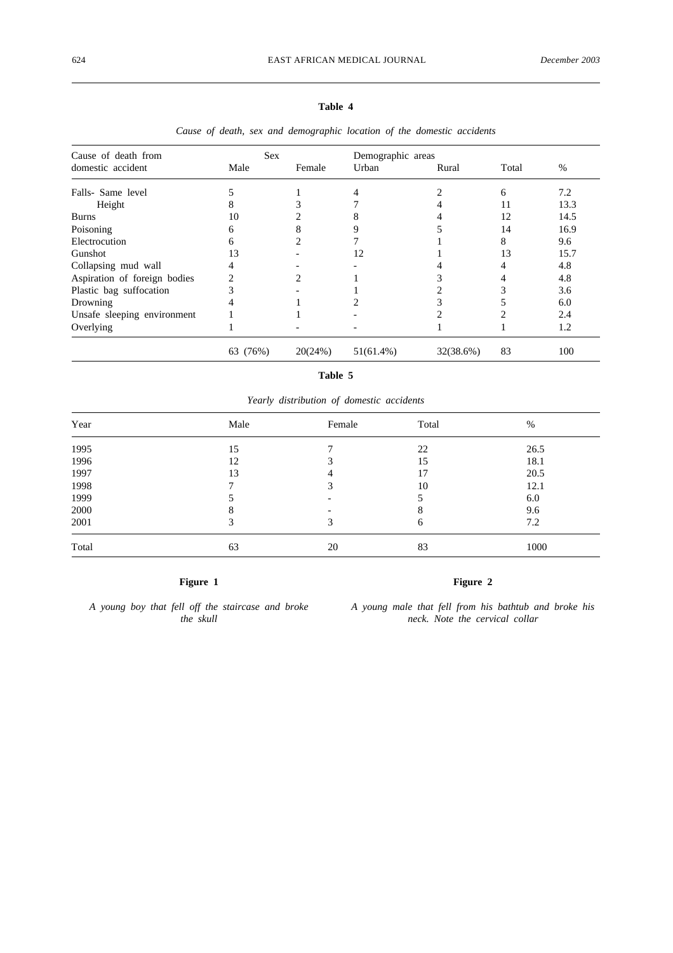## **Table 4**

| Cause of death from          | <b>Sex</b> |         | Demographic areas |           |       |      |
|------------------------------|------------|---------|-------------------|-----------|-------|------|
| domestic accident            | Male       | Female  | Urban             | Rural     | Total | $\%$ |
| Falls- Same level            |            |         |                   |           | 6     | 7.2  |
| Height                       | 8          |         |                   |           | 11    | 13.3 |
| <b>Burns</b>                 | 10         |         | x                 |           | 12    | 14.5 |
| Poisoning                    | 6          | 8       | 9                 |           | 14    | 16.9 |
| Electrocution                | 6          | າ       |                   |           | 8     | 9.6  |
| Gunshot                      | 13         |         | 12                |           | 13    | 15.7 |
| Collapsing mud wall          |            |         |                   |           |       | 4.8  |
| Aspiration of foreign bodies |            |         |                   |           |       | 4.8  |
| Plastic bag suffocation      |            |         |                   |           |       | 3.6  |
| Drowning                     |            |         |                   |           |       | 6.0  |
| Unsafe sleeping environment  |            |         |                   |           |       | 2.4  |
| Overlying                    |            |         |                   |           |       | 1.2  |
|                              | 63 (76%)   | 20(24%) | $51(61.4\%)$      | 32(38.6%) | 83    | 100  |

*Cause of death, sex and demographic location of the domestic accidents*

## **Table 5**

*Yearly distribution of domestic accidents*

| Year  | Male | Female                   | Total | %    |  |
|-------|------|--------------------------|-------|------|--|
| 1995  | 15   | −                        | 22    | 26.5 |  |
| 1996  | 12   |                          | 15    | 18.1 |  |
| 1997  | 13   | 4                        | 17    | 20.5 |  |
| 1998  |      | 3                        | 10    | 12.1 |  |
| 1999  |      | $\overline{\phantom{a}}$ |       | 6.0  |  |
| 2000  |      |                          | 8     | 9.6  |  |
| 2001  |      | 3                        | 6     | 7.2  |  |
| Total | 63   | 20                       | 83    | 1000 |  |

## **Figure 1**

*A young boy that fell off the staircase and broke the skull*

# **Figure 2**

*A young male that fell from his bathtub and broke his neck. Note the cervical collar*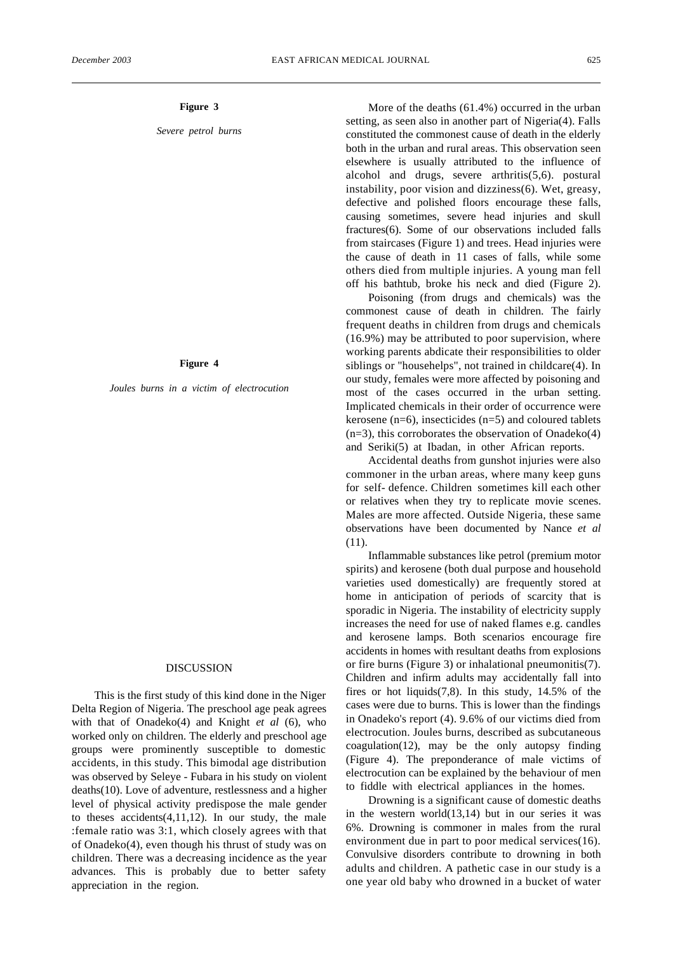## **Figure 3**

*Severe petrol burns*

### **Figure 4**

*Joules burns in a victim of electrocution*

#### DISCUSSION

This is the first study of this kind done in the Niger Delta Region of Nigeria. The preschool age peak agrees with that of Onadeko(4) and Knight *et al* (6), who worked only on children. The elderly and preschool age groups were prominently susceptible to domestic accidents, in this study. This bimodal age distribution was observed by Seleye - Fubara in his study on violent deaths(10). Love of adventure, restlessness and a higher level of physical activity predispose the male gender to theses accidents(4,11,12). In our study, the male :female ratio was 3:1, which closely agrees with that of Onadeko(4), even though his thrust of study was on children. There was a decreasing incidence as the year advances. This is probably due to better safety appreciation in the region.

More of the deaths (61.4%) occurred in the urban setting, as seen also in another part of Nigeria(4). Falls constituted the commonest cause of death in the elderly both in the urban and rural areas. This observation seen elsewhere is usually attributed to the influence of alcohol and drugs, severe arthritis(5,6). postural instability, poor vision and dizziness(6). Wet, greasy, defective and polished floors encourage these falls, causing sometimes, severe head injuries and skull fractures(6). Some of our observations included falls from staircases (Figure 1) and trees. Head injuries were the cause of death in 11 cases of falls, while some others died from multiple injuries. A young man fell off his bathtub, broke his neck and died (Figure 2).

Poisoning (from drugs and chemicals) was the commonest cause of death in children. The fairly frequent deaths in children from drugs and chemicals (16.9%) may be attributed to poor supervision, where working parents abdicate their responsibilities to older siblings or "househelps", not trained in childcare(4). In our study, females were more affected by poisoning and most of the cases occurred in the urban setting. Implicated chemicals in their order of occurrence were kerosene (n=6), insecticides (n=5) and coloured tablets (n=3), this corroborates the observation of Onadeko(4) and Seriki(5) at Ibadan, in other African reports.

Accidental deaths from gunshot injuries were also commoner in the urban areas, where many keep guns for self- defence. Children sometimes kill each other or relatives when they try to replicate movie scenes. Males are more affected. Outside Nigeria, these same observations have been documented by Nance *et al* (11).

Inflammable substances like petrol (premium motor spirits) and kerosene (both dual purpose and household varieties used domestically) are frequently stored at home in anticipation of periods of scarcity that is sporadic in Nigeria. The instability of electricity supply increases the need for use of naked flames e.g. candles and kerosene lamps. Both scenarios encourage fire accidents in homes with resultant deaths from explosions or fire burns (Figure 3) or inhalational pneumonitis(7). Children and infirm adults may accidentally fall into fires or hot liquids $(7,8)$ . In this study, 14.5% of the cases were due to burns. This is lower than the findings in Onadeko's report (4). 9.6% of our victims died from electrocution. Joules burns, described as subcutaneous coagulation(12), may be the only autopsy finding (Figure 4). The preponderance of male victims of electrocution can be explained by the behaviour of men to fiddle with electrical appliances in the homes.

Drowning is a significant cause of domestic deaths in the western world(13,14) but in our series it was 6%. Drowning is commoner in males from the rural environment due in part to poor medical services(16). Convulsive disorders contribute to drowning in both adults and children. A pathetic case in our study is a one year old baby who drowned in a bucket of water